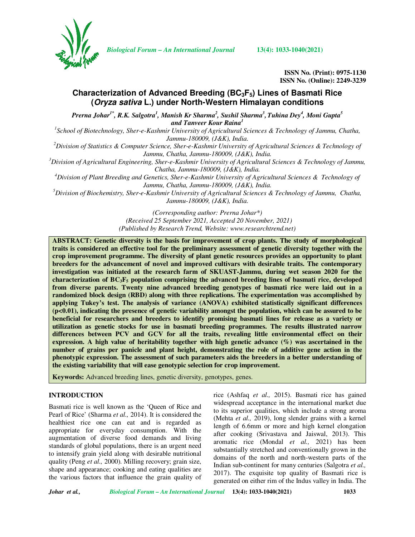

*Biological Forum – An International Journal* **13(4): 1033-1040(2021)**

**ISSN No. (Print): 0975-1130 ISSN No. (Online): 2249-3239** 

# **Characterization of Advanced Breeding (BC3F5) Lines of Basmati Rice (Oryza sativa L.) under North-Western Himalayan conditions**

 $P$ rerna Johar $^{1^*}$ , R.K. Salgotra<sup>1</sup>, Manish Kr Sharma<sup>2</sup>, Sushil Sharma<sup>3</sup>, Tuhina Dey<sup>4</sup>, Moni Gupta<sup>5</sup> *and Tanveer Kour Raina<sup>1</sup>*

<sup>1</sup> School of Biotechnology, Sher-e-Kashmir University of Agricultural Sciences & Technology of Jammu, Chatha, *Jammu-180009, (J&K), India.* 

*<sup>2</sup>Division of Statistics & Computer Science, Sher-e-Kashmir University of Agricultural Sciences & Technology of Jammu, Chatha, Jammu-180009, (J&K), India.* 

*<sup>3</sup>Division of Agricultural Engineering, Sher-e-Kashmir University of Agricultural Sciences & Technology of Jammu, Chatha, Jammu-180009, (J&K), India.* 

*<sup>4</sup>Division of Plant Breeding and Genetics, Sher-e-Kashmir University of Agricultural Sciences & Technology of Jammu, Chatha, Jammu-180009, (J&K), India.* 

*<sup>5</sup>Division of Biochemistry, Sher-e-Kashmir University of Agricultural Sciences & Technology of Jammu, Chatha, Jammu-180009, (J&K), India.* 

> *(Corresponding author: Prerna Johar\*) (Received 25 September 2021, Accepted 20 November, 2021) (Published by Research Trend, Website: www.researchtrend.net)*

**ABSTRACT: Genetic diversity is the basis for improvement of crop plants. The study of morphological traits is considered an effective tool for the preliminary assessment of genetic diversity together with the crop improvement programme. The diversity of plant genetic resources provides an opportunity to plant breeders for the advancement of novel and improved cultivars with desirable traits. The contemporary investigation was initiated at the research farm of SKUAST-Jammu, during wet season 2020 for the characterization of BC3F5 population comprising the advanced breeding lines of basmati rice, developed from diverse parents. Twenty nine advanced breeding genotypes of basmati rice were laid out in a randomized block design (RBD) along with three replications. The experimentation was accomplished by applying Tukey's test. The analysis of variance (ANOVA) exhibited statistically significant differences (p<0.01), indicating the presence of genetic variability amongst the population, which can be assured to be beneficial for researchers and breeders to identify promising basmati lines for release as a variety or utilization as genetic stocks for use in basmati breeding programmes. The results illustrated narrow differences between PCV and GCV for all the traits, revealing little environmental effect on their expression. A high value of heritability together with high genetic advance (%) was ascertained in the number of grains per panicle and plant height, demonstrating the role of additive gene action in the phenotypic expression. The assessment of such parameters aids the breeders in a better understanding of the existing variability that will ease genotypic selection for crop improvement.** 

**Keywords:** Advanced breeding lines, genetic diversity, genotypes, genes.

# **INTRODUCTION**

Basmati rice is well known as the 'Queen of Rice and Pearl of Rice' (Sharma *et al.,* 2014). It is considered the healthiest rice one can eat and is regarded as appropriate for everyday consumption. With the augmentation of diverse food demands and living standards of global populations, there is an urgent need to intensify grain yield along with desirable nutritional quality (Peng *et al.,* 2000). Milling recovery; grain size, shape and appearance; cooking and eating qualities are the various factors that influence the grain quality of rice (Ashfaq *et al.,* 2015). Basmati rice has gained widespread acceptance in the international market due to its superior qualities, which include a strong aroma (Mehta *et al.,* 2019), long slender grains with a kernel length of 6.6mm or more and high kernel elongation after cooking (Srivastava and Jaiswal, 2013). This aromatic rice (Mondal *et al.,* 2021) has been substantially stretched and conventionally grown in the domains of the north and north-western parts of the Indian sub-continent for many centuries (Salgotra *et al.,* 2017). The exquisite top quality of Basmati rice is generated on either rim of the Indus valley in India. The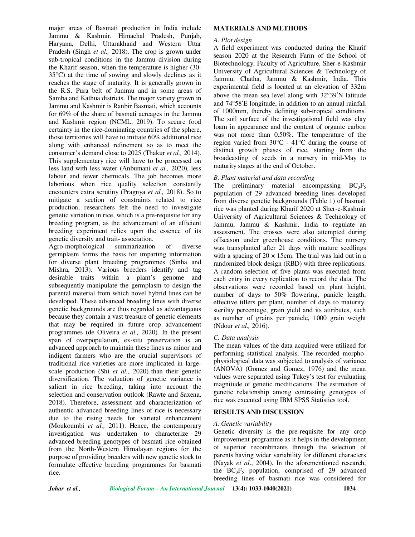major areas of Basmati production in India include Jammu & Kashmir, Himachal Pradesh, Punjab, Haryana, Delhi, Uttarakhand and Western Uttar Pradesh (Singh *et al.,* 2018). The crop is grown under sub-tropical conditions in the Jammu division during the Kharif season, when the temperature is higher (30- 35°C) at the time of sowing and slowly declines as it reaches the stage of maturity. It is generally grown in the R.S. Pura belt of Jammu and in some areas of Samba and Kathua districts. The major variety grown in Jammu and Kashmir is Ranbir Basmati, which accounts for 69% of the share of basmati acreages in the Jammu and Kashmir region (NCML, 2019). To secure food certainty in the rice-dominating countries of the sphere, those territories will have to initiate 60% additional rice along with enhanced refinement so as to meet the consumer's demand close to 2025 (Thakur *et al.,* 2014). This supplementary rice will have to be processed on less land with less water (Anbumani *et al.,* 2020), less labour and fewer chemicals. The job becomes more laborious when rice quality selection constantly encounters extra scrutiny (Pragnya *et al.,* 2018). So to mitigate a section of constraints related to rice production, researchers felt the need to investigate genetic variation in rice, which is a pre-requisite for any breeding program, as the advancement of an efficient breeding experiment relies upon the essence of its genetic diversity and trait- association.

Agro-morphological summarization of diverse germplasm forms the basis for imparting information for diverse plant breeding programmes (Sinha and Mishra, 2013). Various breeders identify and tag desirable traits within a plant's genome and subsequently manipulate the germplasm to design the parental material from which novel hybrid lines can be developed. These advanced breeding lines with diverse genetic backgrounds are thus regarded as advantageous because they contain a vast treasure of genetic elements that may be required in future crop advancement programmes (de Oliveira *et al.,* 2020). In the present span of overpopulation, ex-situ preservation is an advanced approach to maintain these lines as minor and indigent farmers who are the crucial supervisors of traditional rice varieties are more implicated in largescale production (Shi *et al.,* 2020) than their genetic diversification. The valuation of genetic variance is salient in rice breeding, taking into account the selection and conservation outlook (Rawte and Saxena, 2018). Therefore, assessment and characterization of authentic advanced breeding lines of rice is necessary due to the rising needs for varietal enhancement (Moukoumbi *et al.,* 2011). Hence, the contemporary investigation was undertaken to characterize 29 advanced breeding genotypes of basmati rice obtained from the North-Western Himalayan regions for the purpose of providing breeders with new genetic stock to formulate effective breeding programmes for basmati rice.

### **MATERIALS AND METHODS**

### *A. Plot design*

A field experiment was conducted during the Kharif season 2020 at the Research Farm of the School of Biotechnology, Faculty of Agriculture, Sher-e-Kashmir University of Agricultural Sciences & Technology of Jammu, Chatha, Jammu & Kashmir, India. This experimental field is located at an elevation of 332m above the mean sea level along with 32°39′N latitude and 74°58′E longitude, in addition to an annual rainfall of 1000mm, thereby defining sub-tropical conditions. The soil surface of the investigational field was clay loam in appearance and the content of organic carbon was not more than 0.50%. The temperature of the region varied from 30°C - 41°C during the course of distinct growth phases of rice, starting from the broadcasting of seeds in a nursery in mid-May to maturity stages at the end of October.

# *B. Plant material and data recording*

The preliminary material encompassing  $BC_3F_5$ population of 29 advanced breeding lines developed from diverse genetic backgrounds (Table 1) of basmati rice was planted during Kharif 2020 at Sher-e-Kashmir University of Agricultural Sciences & Technology of Jammu, Jammu & Kashmir, India to regulate an assessment. The crosses were also attempted during offseason under greenhouse conditions. The nursery was transplanted after 21 days with mature seedlings with a spacing of  $20 \times 15$ cm. The trial was laid out in a randomized block design (RBD) with three replications. A random selection of five plants was executed from each entry in every replication to record the data. The observations were recorded based on plant height, number of days to 50% flowering, panicle length, effective tillers per plant, number of days to maturity, sterility percentage, grain yield and its attributes, such as number of grains per panicle, 1000 grain weight (Ndour *et al.,* 2016).

#### *C. Data analysis*

The mean values of the data acquired were utilized for performing statistical analysis. The recorded morphophysiological data was subjected to analysis of variance (ANOVA) (Gomez and Gomez, 1976) and the mean values were separated using Tukey's test for evaluating magnitude of genetic modifications. The estimation of genetic relationship among contrasting genotypes of rice was executed using IBM SPSS Statistics tool.

# **RESULTS AND DISCUSSION**

#### *A. Genetic variability*

Genetic diversity is the pre-requisite for any crop improvement programme as it helps in the development of superior recombinants through the selection of parents having wider variability for different characters (Nayak *et al*., 2004). In the aforementioned research, the  $BC_3F_5$  population, comprised of 29 advanced breeding lines of basmati rice was considered for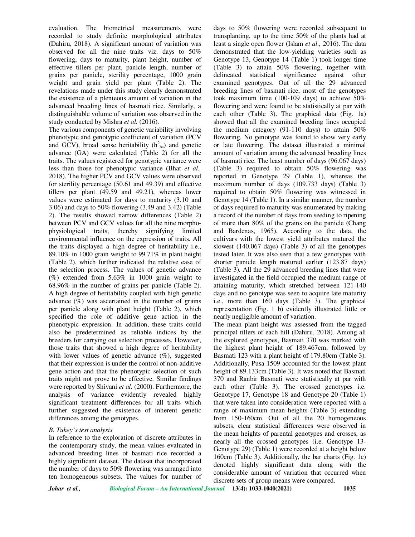evaluation. The biometrical measurements were recorded to study definite morphological attributes (Dahiru, 2018). A significant amount of variation was observed for all the nine traits viz. days to 50% flowering, days to maturity, plant height, number of effective tillers per plant, panicle length, number of grains per panicle, sterility percentage, 1000 grain weight and grain yield per plant (Table 2). The revelations made under this study clearly demonstrated the existence of a plenteous amount of variation in the advanced breeding lines of basmati rice. Similarly, a distinguishable volume of variation was observed in the study conducted by Mishra *et al.* (2016).

The various components of genetic variability involving phenotypic and genotypic coefficient of variation (PCV and GCV), broad sense heritability  $(h_{bs}^2)$  and genetic advance (GA) were calculated (Table 2) for all the traits. The values registered for genotypic variance were less than those for phenotypic variance (Bhat *et al.,* 2018). The higher PCV and GCV values were observed for sterility percentage (50.61 and 49.39) and effective tillers per plant (49.59 and 49.21), whereas lower values were estimated for days to maturity (3.10 and 3.06) and days to 50% flowering (3.49 and 3.42) (Table 2). The results showed narrow differences (Table 2) between PCV and GCV values for all the nine morphophysiological traits, thereby signifying limited environmental influence on the expression of traits. All the traits displayed a high degree of heritability i.e., 89.10% in 1000 grain weight to 99.71% in plant height (Table 2), which further indicated the relative ease of the selection process. The values of genetic advance (%) extended from  $5.63\%$  in 1000 grain weight to 68.96% in the number of grains per panicle (Table 2). A high degree of heritability coupled with high genetic advance  $(\%)$  was ascertained in the number of grains per panicle along with plant height (Table 2), which specified the role of additive gene action in the phenotypic expression. In addition, these traits could also be predetermined as reliable indices by the breeders for carrying out selection processes. However, those traits that showed a high degree of heritability with lower values of genetic advance  $(\%)$ , suggested that their expression is under the control of non-additive gene action and that the phenotypic selection of such traits might not prove to be effective. Similar findings were reported by Shivani *et al.* (2000). Furthermore, the analysis of variance evidently revealed highly significant treatment differences for all traits which further suggested the existence of inherent genetic differences among the genotypes.

### *B. Tukey's test analysis*

In reference to the exploration of discrete attributes in the contemporary study, the mean values evaluated in advanced breeding lines of basmati rice recorded a highly significant dataset. The dataset that incorporated the number of days to 50% flowering was arranged into ten homogeneous subsets. The values for number of days to 50% flowering were recorded subsequent to transplanting, up to the time 50% of the plants had at least a single open flower (Islam *et al.,* 2016). The data demonstrated that the low-yielding varieties such as Genotype 13, Genotype 14 (Table 1) took longer time (Table 3) to attain 50% flowering, together with delineated statistical significance against other examined genotypes. Out of all the 29 advanced breeding lines of basmati rice, most of the genotypes took maximum time (100-109 days) to achieve 50% flowering and were found to be statistically at par with each other (Table 3). The graphical data (Fig. 1a) showed that all the examined breeding lines occupied the medium category (91-110 days) to attain 50% flowering. No genotype was found to show very early or late flowering. The dataset illustrated a minimal amount of variation among the advanced breeding lines of basmati rice. The least number of days (96.067 days) (Table 3) required to obtain 50% flowering was reported in Genotype 29 (Table 1), whereas the maximum number of days (109.733 days) (Table 3) required to obtain 50% flowering was witnessed in Genotype 14 (Table 1). In a similar manner, the number of days required to maturity was enumerated by making a record of the number of days from seeding to ripening of more than 80% of the grains on the panicle (Chang and Bardenas, 1965). According to the data, the cultivars with the lowest yield attributes matured the slowest (140.067 days) (Table 3) of all the genotypes tested later. It was also seen that a few genotypes with shorter panicle length matured earlier (123.87 days) (Table 3). All the 29 advanced breeding lines that were investigated in the field occupied the medium range of attaining maturity, which stretched between 121-140 days and no genotype was seen to acquire late maturity i.e., more than 160 days (Table 3). The graphical representation (Fig. 1 b) evidently illustrated little or nearly negligible amount of variation.

The mean plant height was assessed from the tagged principal tillers of each hill (Dahiru, 2018). Among all the explored genotypes, Basmati 370 was marked with the highest plant height of 189.467cm, followed by Basmati 123 with a plant height of 179.80cm (Table 3). Additionally, Pusa 1509 accounted for the lowest plant height of 89.133cm (Table 3). It was noted that Basmati 370 and Ranbir Basmati were statistically at par with each other (Table 3). The crossed genotypes i.e. Genotype 17, Genotype 18 and Genotype 20 (Table 1) that were taken into consideration were reported with a range of maximum mean heights (Table 3) extending from 150-160cm. Out of all the 20 homogeneous subsets, clear statistical differences were observed in the mean heights of parental genotypes and crosses, as nearly all the crossed genotypes (i.e. Genotype 13- Genotype 29) (Table 1) were recorded at a height below 160cm (Table 3). Additionally, the bar charts (Fig. 1c) denoted highly significant data along with the considerable amount of variation that occurred when discrete sets of group means were compared.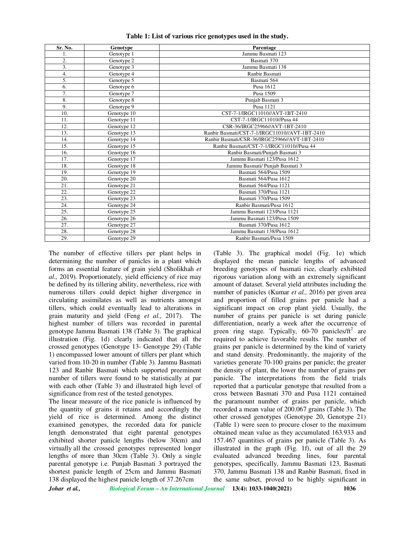| Sr. No. | Genotype    | Parentage                                      |
|---------|-------------|------------------------------------------------|
| 1.      | Genotype 1  | Jammu Basmati 123                              |
| 2.      | Genotype 2  | Basmati 370                                    |
| 3.      | Genotype 3  | Jammu Basmati 138                              |
| 4.      | Genotype 4  | Ranbir Basmati                                 |
| 5.      | Genotype 5  | Basmati 564                                    |
| 6.      | Genotype 6  | Pusa 1612                                      |
| 7.      | Genotype 7  | Pusa 1509                                      |
| 8.      | Genotype 8  | Punjab Basmati 3                               |
| 9.      | Genotype 9  | Pusa 1121                                      |
| 10.     | Genotype 10 | CST-7-1/IRGC11010//AVT-1BT-2410                |
| 11.     | Genotype 11 | CST-7-1/IRGC11010//Pusa 44                     |
| 12.     | Genotype 12 | CSR-36/IRGC25966//AVT-1BT-2410                 |
| 13.     | Genotype 13 | Ranbir Basmati/CST-7-1/IRGC11010//AVT-1BT-2410 |
| 14.     | Genotype 14 | Ranbir Basmati/CSR-36/IRGC25966//AVT-1BT-2410  |
| 15.     | Genotype 15 | Ranbir Basmati/CST-7-1/IRGC11010//Pusa 44      |
| 16.     | Genotype 16 | Ranbir Basmati/Punjab Basmati 3                |
| 17.     | Genotype 17 | Jammu Basmati 123/Pusa 1612                    |
| 18.     | Genotype 18 | Jammu Basmati/ Punjab Basmati 3                |
| 19.     | Genotype 19 | Basmati 564/Pusa 1509                          |
| 20.     | Genotype 20 | Basmati 564/Pusa 1612                          |
| 21.     | Genotype 21 | Basmati 564/Pusa 1121                          |
| 22.     | Genotype 22 | Basmati 370/Pusa 1121                          |
| 23.     | Genotype 23 | Basmati 370/Pusa 1509                          |
| 24.     | Genotype 24 | Ranbir Basmati/Pusa 1612                       |
| 25.     | Genotype 25 | Jammu Basmati 123/Pusa 1121                    |
| 26.     | Genotype 26 | Jammu Basmati 123/Pusa 1509                    |
| 27.     | Genotype 27 | Basmati 370/Pusa 1612                          |
| 28.     | Genotype 28 | Jammu Basmati 138/Pusa 1612                    |
| 29.     | Genotype 29 | Ranbir Basmati/Pusa 1509                       |

**Table 1: List of various rice genotypes used in the study.**

The number of effective tillers per plant helps in determining the number of panicles in a plant which forms an essential feature of grain yield (Sholikhah *et al.,* 2019). Proportionately, yield efficiency of rice may be defined by its tillering ability, nevertheless, rice with numerous tillers could depict higher divergence in circulating assimilates as well as nutrients amongst tillers, which could eventually lead to alterations in grain maturity and yield (Feng *et al.,* 2017). The highest number of tillers was recorded in parental genotype Jammu Basmati 138 (Table 3). The graphical illustration (Fig. 1d) clearly indicated that all the crossed genotypes (Genotype 13- Genotype 29) (Table 1) encompassed lower amount of tillers per plant which varied from 10-20 in number (Table 3). Jammu Basmati 123 and Ranbir Basmati which supported preeminent number of tillers were found to be statistically at par with each other (Table 3) and illustrated high level of significance from rest of the tested genotypes.

The linear measure of the rice panicle is influenced by the quantity of grains it retains and accordingly the yield of rice is determined. Among the distinct examined genotypes, the recorded data for panicle length demonstrated that eight parental genotypes exhibited shorter panicle lengths (below 30cm) and virtually all the crossed genotypes represented longer lengths of more than 30cm (Table 3). Only a single parental genotype i.e. Punjab Basmati 3 portrayed the shortest panicle length of 25cm and Jammu Basmati 138 displayed the highest panicle length of 37.267cm

(Table 3). The graphical model (Fig. 1e) which displayed the mean panicle lengths of advanced breeding genotypes of basmati rice, clearly exhibited rigorous variation along with an extremely significant amount of dataset. Several yield attributes including the number of panicles (Kumar *et al.,* 2016) per given area and proportion of filled grains per panicle had a significant impact on crop plant yield. Usually, the number of grains per panicle is set during panicle differentiation, nearly a week after the occurrence of green ring stage. Typically,  $60-70$  panicles/ $\text{ft}^2$  are required to achieve favorable results. The number of grains per panicle is determined by the kind of variety and stand density. Predominantly, the majority of the varieties generate 70-100 grains per panicle; the greater the density of plant, the lower the number of grains per panicle. The interpretations from the field trials reported that a particular genotype that resulted from a cross between Basmati 370 and Pusa 1121 contained the paramount number of grains per panicle, which recorded a mean value of 200.067 grains (Table 3). The other crossed genotypes (Genotype 20, Genotype 21) (Table 1) were seen to procure closer to the maximum obtained mean value as they accumulated 163.933 and 157.467 quantities of grains per panicle (Table 3). As illustrated in the graph (Fig. 1f), out of all the 29 evaluated advanced breeding lines, four parental genotypes, specifically, Jammu Basmati 123, Basmati 370, Jammu Basmati 138 and Ranbir Basmati, fixed in the same subset, proved to be highly significant in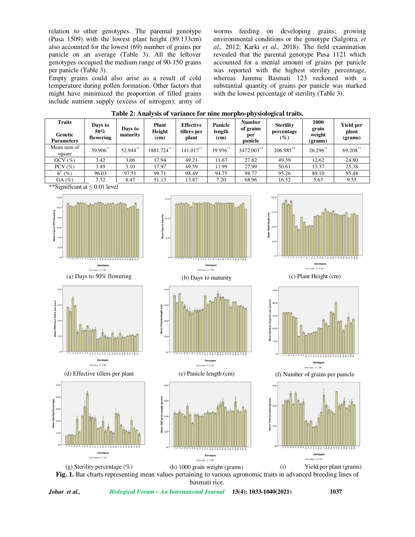relation to other genotypes. The parental genotype (Pusa 1509) with the lowest plant height (89.133cm) also accounted for the lowest (69) number of grains per panicle on an average (Table 3). All the leftover genotypes occupied the medium range of 90-150 grains per panicle (Table 3).

Empty grains could also arise as a result of cold temperature during pollen formation. Other factors that might have minimized the proportion of filled grains include nutrient supply (excess of nitrogen); army of worms feeding on developing grains; growing environmental conditions or the genotype (Salgotra, *et al.,* 2012; Karki *et al.,* 2018). The field examination revealed that the parental genotype Pusa 1121 which accounted for a menial amount of grains per panicle was reported with the highest sterility percentage, whereas Jammu Basmati 123 reckoned with a substantial quantity of grains per panicle was marked with the lowest percentage of sterility (Table 3).

| Table 2: Analysis of variance for nine morpho-physiological traits. |  |  |
|---------------------------------------------------------------------|--|--|
|                                                                     |  |  |

| <b>Traits</b><br>Genetic<br><b>Parameters</b>                                                | Days to<br>50%<br>flowering                                                                            | Days to<br>maturity      | <b>Plant</b><br>Height<br>(cm)                      | <b>Effective</b><br>tillers per<br>plant     | Panicle<br>length<br>(cm) | <b>Number</b><br>of grains<br>per<br>panicle | <b>Sterility</b><br>percentage<br>$(\%)$      | 1000<br>grain<br>weight<br>(grams)                                                       | <b>Yield per</b><br>plant<br>(grams) |  |  |
|----------------------------------------------------------------------------------------------|--------------------------------------------------------------------------------------------------------|--------------------------|-----------------------------------------------------|----------------------------------------------|---------------------------|----------------------------------------------|-----------------------------------------------|------------------------------------------------------------------------------------------|--------------------------------------|--|--|
| Mean sum of<br>square                                                                        | 39.906**                                                                                               | 52.944**                 | 1881.724**                                          | $141.017***$                                 | 39.956**                  | 3472.003**                                   | 206.985**                                     | 26.296**                                                                                 | 69.208**                             |  |  |
| GCV(%)                                                                                       | 3.42                                                                                                   | 3.06                     | 17.94                                               | 49.21                                        | 11.67                     | 27.82                                        | 49.39                                         | 12.62                                                                                    | 24.80                                |  |  |
| $PCV$ (%)                                                                                    | 3.49                                                                                                   | 3.10                     | 17.97                                               | 49.59                                        | 11.99                     | 27.99                                        | 50.61                                         | 13.37                                                                                    | 25.38                                |  |  |
| $h^2$ (%)                                                                                    | 96.03                                                                                                  | 97.51                    | 99.71                                               | 98.49                                        | 94.75                     | 98.77                                        | 95.26                                         | 89.10                                                                                    | 95.48                                |  |  |
| GA(%)                                                                                        | 7.32<br>51.13<br>8.47<br>13.87<br>7.20<br>68.96<br>16.52<br>5.63<br>**Significant at $\leq 0.01$ level |                          |                                                     |                                              |                           |                                              | 9.55                                          |                                                                                          |                                      |  |  |
| 120.00-<br>100.00<br>Mean Days to 50% flowering<br>80.00<br>60.00-<br>40.00<br>20.00         | Genotypes                                                                                              | 부부 구부 무려 주 다 다 주 라 라 다 라 | 150.0<br>Mean Days to maturity<br>100.00<br>50.0    |                                              | Genotypes                 |                                              | 200.0<br>Mean Plant Height (cm)<br>50.00      | Genotypes                                                                                |                                      |  |  |
| Error bars: +/- 2 SE<br>(a) Days to 50% flowering                                            |                                                                                                        |                          |                                                     | Error bars: +/- 2 SE<br>(b) Days to maturity |                           |                                              | Error bars: +/- 2 SE<br>(c) Plant Height (cm) |                                                                                          |                                      |  |  |
| 40.01<br>Mean Effective tillers per plant<br>30.00<br>20.00<br>10.00<br>******************** |                                                                                                        |                          | 40.00<br>Mean Panicle length (cm)<br>20.00<br>10.00 |                                              |                           |                                              |                                               | 250.0<br>per panicle<br>200.00<br>of arains<br>Mean<br>50.0<br>- - - - - - - - - - - - - |                                      |  |  |
|                                                                                              | Genotypes<br>Error bars: +/- 2 SE                                                                      |                          |                                                     | Error bars: +/- 2 SE                         | Genotypes                 |                                              |                                               | Genotypes<br>Error bars: +/- 2 SE                                                        |                                      |  |  |
| (d) Effective tillers per plant                                                              |                                                                                                        |                          |                                                     | (e) Panicle length (cm)                      |                           |                                              | (f) Number of grains per panicle              |                                                                                          |                                      |  |  |
| 500<br>40.0<br>Mean Sterility Percentage<br>30.00<br>200<br>10.00                            |                                                                                                        | 可修舒芹                     | 40.00<br>Mean 1000 grain weight (grams)<br>30.0     |                                              | 28822                     |                                              | Mean Yield per plant (gr<br>20.00             |                                                                                          |                                      |  |  |
| Genotypes<br>Error bars: +/- 2 SE                                                            |                                                                                                        |                          |                                                     | Genotypes<br>Error bars: +/- 2 SE            |                           |                                              | Genotype:<br>Error bars: +/- 2 SE             |                                                                                          |                                      |  |  |

(g) Sterility percentage (%) (h) 1000 grain weight (grams) (i) Yield per plant (grams) **Fig. 1.** Bar charts representing mean values pertaining to various agronomic traits in advanced breeding lines of basmati rice.

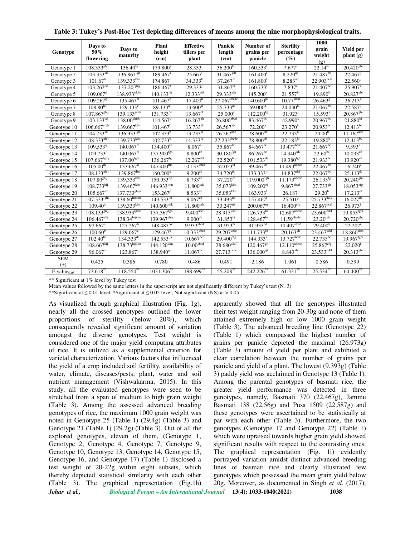| Genotype      | Days to<br>50%<br>flowering | Days to<br>maturity       | <b>Plant</b><br>height<br>(cm) | <b>Effective</b><br>tillers per<br>plant | Panicle<br>length<br>(cm) | Number of<br>grains per<br>panicle | <b>Sterility</b><br>percentage<br>$(\%)$ | 1000<br>grain<br>weight<br>(g) | <b>Yield per</b><br>plant(g) |
|---------------|-----------------------------|---------------------------|--------------------------------|------------------------------------------|---------------------------|------------------------------------|------------------------------------------|--------------------------------|------------------------------|
| Genotype 1    | $108.333^{ghij}$            | $136.40^{fg}$             | 179.800 <sup>s</sup>           | 28.333                                   | $36.200^{\text{lm}}$      | 160.533                            | $7.677$ <sup>a</sup>                     | $22.14^{bc}$                   | $20.420^{ghi}$               |
| Genotype 2    | $103.333$ <sup>cd</sup>     | $136.867^{fgh}$           | $189.467$ <sup>t</sup>         | $25.667$ <sup>i</sup>                    | 31.467 <sup>ghi</sup>     | $161.400$ <sup>1</sup>             | $8.22\overline{0^{ab}}$                  | $21.487^{bc}$                  | $22.467$ <sup>1</sup>        |
| Genotype 3    | $101.67^{\rm b}$            | $139.333$ <sup>klm</sup>  | 174.867 <sup>r</sup>           | $34.333^{k}$                             | $37.267^{\rm m}$          | 161.800 <sup>1</sup>               | $8.283^{ab}$                             | 22.903bcd                      | $22.560^{ij}$                |
| Genotype 4    | $103.267^{cd}$              | $137.20$ <sup>fghij</sup> | $186.467$ <sup>t</sup>         | $29.333^{j}$                             | $31.867^{\text{hi}}$      | 160.733                            | $7.837$ <sup>a</sup>                     | $21.407^{bc}$                  | $25.907^{k}$                 |
| Genotype 5    | $109.067$ <sup>ij</sup>     | 138.933ijklm              | $140.133^{\text{hij}}$         | $12.333$ def                             | $29.333$ <sup>efg</sup>   | 145.200 <sup>k</sup>               | 21.557 <sup>hi</sup>                     | 19.890 <sup>b</sup>            | $20.827$ <sup>ghi</sup>      |
| Genotype 6    | $109.267$ <sup>ij</sup>     | $135.467$ <sup>ef</sup>   | $101.467^b$                    | 17.400 <sup>h</sup>                      | 27.067 <sup>abcde</sup>   | $140.600^{jk}$                     | $10.77$ <sup>abcd</sup>                  | $26.463^8$                     | $26.213^{k}$                 |
| Genotype 7    | $108.80^{hij}$              | $129.133^{\circ}$         | 89.133 <sup>a</sup>            | $13.600^{ef}$                            | $25.733^{ab}$             | $69.000^{a}$                       | $24.030^{\text{hi}}$                     | $21.067^{bc}$                  | $22.587^{ij}$                |
| Genotype 8    | $107.867^{ghij}$            | $139.133^{jklm}$          | $131.733^{de}$                 | $13.667$ <sup>ef</sup>                   | $25.000^a$                | $112.200^{fg}$                     | 31.923 <sup>J</sup>                      | $15.593^{\circ}$               | $20.867^{ghi}$               |
| Genotype 9    | $103.133^{cd}$              | 138.00 <sup>ghijkl</sup>  | $114.567^{\circ}$              | $16.267$ <sup>gh</sup>                   | $26.800$ abcd             | $83.467^{bc}$                      | 42.990 <sup>k</sup>                      | $20.967^{bc}$                  | $21.880^{\text{hi}}$         |
| Genotype 10   | $106.667$ <sup>efgh</sup>   | $139.667$ <sup>klm</sup>  | $101.467$ <sup>b</sup>         | $13.733$ <sup>ef</sup>                   | $26.567$ <sup>abc</sup>   | $72.200^a$                         | $23.270^{hi}$                            | $20.953^{bc}$                  | $12.413^{bc}$                |
| Genotype 11   | $104.733^{\text{de}}$       | $136.933^{fgh}$           | $102.333^{b}$                  | 13.733 <sup>ef</sup>                     | $26.567$ <sup>abc</sup>   | $78.600^{ab}$                      | $22.733^{hi}$                            | 20.00 <sup>b</sup>             | $11.167^{abc}$               |
| Genotype 12   | $108.333^{ghij}$            | $139.733$ <sup>klm</sup>  | $102.733^{b}$                  | $14.333^{fg}$                            | 27.233 abcde              | $78.800^{ab}$                      | 22.183 <sup>hi</sup>                     | 19.880 <sup>b</sup>            | $12.413^{bc}$                |
| Genotype 13   | $109.533^{11}$              | $140.067^{\rm m}$         | $134.400$ <sup>ef</sup>        | $8.067$ <sup>a</sup>                     | $35.867^{\text{lm}}$      | $84.667^{bc}$                      | $13.477$ bcde                            | $21.667^{bc}$                  | $9.393^{\rm a}$              |
| Genotype 14   | 109.733                     | 140.067 <sup>m</sup>      | $137.900$ <sup>fgh</sup>       | $8.800^{ab}$                             | $30.180^{fgh}$            | $86.267^{bc}$                      | $14.340^{cde}$                           | $22.60^{bc}$                   | $10.033^{ab}$                |
| Genotype 15   | $107.667$ <sup>fghij</sup>  | $137.00$ <sup>fghi</sup>  | $136.267^{fg}$                 | $12.267$ <sup>def</sup>                  | $32.520^{hij}$            | $101.533^{de}$                     | $19.380^{fgh}$                           | $21.933^{bc}$                  | $13.920^{cd}$                |
| Genotype 16   | $105.00^{\text{de}}$        | $133.667^{\rm d}$         | $147.400^{mn}$                 | $10.133$ <sup>abcd</sup>                 | 32.053 <sup>hi</sup>      | $99.467$ <sup>de</sup>             | $11.493$ abcde                           | $22.467^{bc}$                  | $16.740^e$                   |
| Genotype 17   | $108.133^{ghij}$            | $139.867$ <sup>lm</sup>   | 160.200 <sup>q</sup>           | $9.200^{ab}$                             | $34.720^{ikl}$            | $133.333^{ij}$                     | $14.837$ <sup>def</sup>                  | $22.067^{bc}$                  | $25.113^{jk}$                |
| Genotype 18   | 107.80 <sup>ghij</sup>      | $139.333$ <sub>kIm</sub>  | $150.933^{op}$                 | $8.733$ <sup>ab</sup>                    | $37.220^{\rm m}$          | $119.000$ <sup>fgh</sup>           | $11.173$ <sup>abcde</sup>                | $26.133^{fg}$                  | $20.240^{ghi}$               |
| Genotype 19   | $108.733$ hij               | $139.467$ <sup>klm</sup>  | $146.933$ <sup>1mn</sup>       | $11.800$ <sup>cde</sup>                  | $35.073$ <sup>klm</sup>   | $109.200$ <sup>ef</sup>            | 9.867abcd                                | $27.733^{gh}$                  | $18.053^{\text{eff}}$        |
| Genotype 20   | $105.667$ <sup>ef</sup>     | $137.733^{ghijk}$         | $153.267^p$                    | $8.533^{ab}$                             | $35.053$ <sup>klm</sup>   | $163.\overline{933}$               | $26.187$ <sup>i</sup>                    | $29.20^{h}$                    | $17.213$ <sup>ef</sup>       |
| Genotype 21   | $107.333^{fghi}$            | $138.60$ hijklm           | $143.533^{jkl}$                | $9.067^{ab}$                             | $33.493^{ijk}$            | $157.\overline{467}$               | $25.510$ <sup>1</sup>                    | $25.733$ <sup>defg</sup>       | $16.027$ <sup>de</sup>       |
| Genotype 22   | $109.40^{11}$               | $139.333$ klm             | $140.600$ hijk                 | 11.800 <sup>cde</sup>                    | $33.247^{ijk}$            | $200.067^{\rm m}$                  | $16.400$ <sup>efg</sup>                  | 22.867 <sup>bcd</sup>          | $26.973^{k}$                 |
| Genotype 23   | $108.133^{ghij}$            | $138.933^{ijklm}$         | $137.367^{fgh}$                | 9.400 <sup>abc</sup>                     | $28.913$ <sup>cdef</sup>  | $126.733$ <sup>hi</sup>            | $12.687$ <sup>abcde</sup>                | 23.600 <sup>cdef</sup>         | 19.853 <sup>fghi</sup>       |
| Genotype 24   | 106.467 <sup>erg</sup>      | 138.34hijklm              | 139.967 <sup>ghij</sup>        | $9.000^{ab}$                             | $31.853^{hi}$             | $128.467^{\text{hi}}$              | $11.59$ abcde                            | $23.20^{\text{cde}}$           | $20.720^{ghi}$               |
| Genotype 25   | $97.667$ <sup>a</sup>       | $127.267^b$               | 148.487 <sup>no</sup>          | $9.933$ <sup>abcd</sup>                  | $31.953$ hi               | $91.933$ <sup>cd</sup>             | $10.407$ abcd                            | $29.400^{\rm h}$               | $22.207$ <sup>1</sup>        |
| Genotype 26   | $100.60^{b}$                | $129.067^{\circ}$         | $129.467$ <sup>d</sup>         | $10.333$ <sup>abcd</sup>                 | $29.207$ <sup>defg</sup>  | $111.733^{fg}$                     | $20.163^{gh}$                            | $23.467$ <sup>cdef</sup>       | $18.860$ <sup>efgh</sup>     |
| Genotype 27   | $102.40^{bc}$               | $134.333^{de}$            | $142.533^{ijk}$                | 10.667 <sup>bcd</sup>                    | 29.400 <sup>erg</sup>     | $144.333^{k}$                      | $13.727$ bcde                            | $22.733^{bc}$                  | $19.967^{fghi}$              |
| Genotype 28   | 108.667 <sup>hij</sup>      | $138.73$ hijklm           | $144.120$ <sup>klm</sup>       | $10.00$ <sup>abcd</sup>                  | $28.680$ <sup>cdef</sup>  | $120.467^{gh}$                     | $12.110$ <sup>abcde</sup>                | $25.867$ <sup>efg</sup>        | 22.020 <sup>1</sup>          |
| Genotype 29   | $96.067$ <sup>a</sup>       | $123.867$ <sup>a</sup>    | $138.940^{ghi}$                | 11.067 <sup>bcd</sup>                    | $27.713$ <sub>bcde</sub>  | $136.000^{ijk}$                    | $8.843$ <sup>abc</sup>                   | $23.533$ <sup>cdef</sup>       | $20.313^{ghi}$               |
| <b>SEM</b>    | 0.425                       | 0.386                     | 0.780                          | 0.486                                    | 0.491                     | 2.186                              | 1.061                                    | 0.586                          | 0.599                        |
| $(\pm)$       |                             |                           |                                |                                          |                           |                                    |                                          |                                |                              |
| $F-value0.05$ | $73.618**$                  | $118.554^{**}$            | $1031.306**$                   | $198.\overline{699}^{**}$                | $55.208**$                | 242.226                            | $61.331**$                               | $25.534^{**}$                  | $64.400**$                   |

**Table 3: Tukey's Post-Hoc Test depicting differences of means among the nine morphophysiological traits.** 

\*\* Significant at 1% level by Tukey test

Mean values followed by the same letters in the superscript are not significantly different by Tukey's test (N=3)

\*\*Significant at  $\leq$  0.01 level, \*Significant at  $\leq$  0.05 level, Not significant (NS) at > 0.05

As visualized through graphical illustration (Fig. 1g), nearly all the crossed genotypes outlined the lower proportions of sterility (below 20%), which consequently revealed significant amount of variation amongst the diverse genotypes. Test weight is considered one of the major yield computing attributes of rice. It is utilized as a supplemental criterion for varietal characterization. Various factors that influenced the yield of a crop included soil fertility, availability of water, climate, diseases/pests; plant, water and soil nutrient management (Vishwakarma, 2015). In this study, all the evaluated genotypes were seen to be stretched from a span of medium to high grain weight (Table 3). Among the assessed advanced breeding genotypes of rice, the maximum 1000 grain weight was noted in Genotype 25 (Table 1) (29.4g) (Table 3) and Genotype 21 (Table 1) (29.2g) (Table 3). Out of all the explored genotypes, eleven of them, (Genotype 1, Genotype 2, Genotype 4, Genotype 7, Genotype 9, Genotype 10, Genotype 13, Genotype 14, Genotype 15, Genotype 16, and Genotype 17) (Table 1) disclosed a test weight of 20-22g within eight subsets, which thereby depicted statistical similarity with each other (Table 3). The graphical representation (Fig.1h)

apparently showed that all the genotypes illustrated their test weight ranging from 20-30g and none of them attained extremely high or low 1000 grain weight (Table 3). The advanced breeding line (Genotype 22) (Table 1) which compassed the highest number of grains per panicle depicted the maximal (26.973g) (Table 3) amount of yield per plant and exhibited a clear correlation between the number of grains per panicle and yield of a plant. The lowest (9.393g) (Table 3) paddy yield was acclaimed in Genotype 13 (Table 1). Among the parental genotypes of basmati rice, the greater yield performance was detected in three genotypes, namely, Basmati 370 (22.467g), Jammu Basmati 138 (22.56g) and Pusa 1509 (22.587g) and these genotypes were ascertained to be statistically at par with each other (Table 3). Furthermore, the two genotypes (Genotype 17 and Genotype 22) (Table 1) which were upraised towards higher grain yield showed significant results with respect to the contrasting ones. The graphical representation (Fig. 1i) evidently portrayed variation amidst distinct advanced breeding lines of basmati rice and clearly illustrated few genotypes which possessed the mean grain yield below 20g. Moreover, as documented in Singh *et al.* (2017);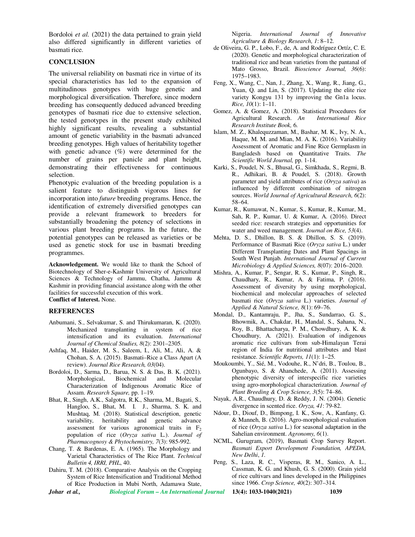Bordoloi *et al.* (2021) the data pertained to grain yield also differed significantly in different varieties of basmati rice.

## **CONCLUSION**

The universal reliability on basmati rice in virtue of its special characteristics has led to the expansion of multitudinous genotypes with huge genetic and morphological diversification. Therefore, since modern breeding has consequently deduced advanced breeding genotypes of basmati rice due to extensive selection, the tested genotypes in the present study exhibited highly significant results, revealing a substantial amount of genetic variability in the basmati advanced breeding genotypes. High values of heritability together with genetic advance (%) were determined for the number of grains per panicle and plant height, demonstrating their effectiveness for continuous selection.

Phenotypic evaluation of the breeding population is a salient feature to distinguish vigorous lines for incorporation into *future* breeding programs. Hence, the identification of extremely diversified genotypes can provide a relevant framework to breeders for substantially broadening the potency of selections in various plant breeding programs. In the future, the potential genotypes can be released as varieties or be used as genetic stock for use in basmati breeding programmes.

**Acknowledgement.** We would like to thank the School of Biotechnology of Sher-e-Kashmir University of Agricultural Sciences & Technology of Jammu, Chatha, Jammu & Kashmir in providing financial assistance along with the other facilities for successful execution of this work. **Conflict of Interest.** None.

#### **REFERENCES**

- Anbumani, S., Selvakumar, S. and Thirukumaran, K. (2020). Mechanized transplanting in system of rice intensification and its evaluation. *International Journal of Chemical Studies, 8*(2): 2301–2305.
- Ashfaq, M., Haider, M. S., Saleem, I., Ali, M., Ali, A. & Chohan, S. A. (2015). Basmati–Rice a Class Apart (A review). *Journal Rice Research, 03*(04).
- Bordoloi, D., Sarma, D., Barua, N. S. & Das, B. K. (2021). Morphological, Biochemical and Molecular Characterization of Indigenous Aromatic Rice of Assam. *Research Square,* pp. 1–19.
- Bhat, R., Singh, A.K., Salgotra, R.K., Sharma, M., Bagati, S., Hangloo, S., Bhat, M. I. J., Sharma, S. K. and Mushtaq, M. (2018). Statistical description, genetic variability, heritability and genetic advance assessment for various agronomical traits in  $F<sub>2</sub>$ population of rice (*Oryza sativa* L.). *Journal of Pharmacognosy & Phytochemistry, 7*(3): 985-992.
- Chang, T. & Bardenas, E. A. (1965). The Morphology and Varietal Characteristics of The Rice Plant. *Technical Bulletin 4, IRRI, PHL*, 40.
- Dahiru, T. M. (2018). Comparative Analysis on the Cropping System of Rice Intensification and Traditional Method of Rice Production in Mubi North, Adamawa State,

Nigeria. *International Journal of Innovative Agriculture & Biology Research, 1*: 8–12.

- de Oliveira, G. P., Lobo, F., de, A. and Rodríguez Ortíz, C. E. (2020). Genetic and morphological characterization of traditional rice and bean varieties from the pantanal of Mato Grosso, Brazil. *Bioscience Journal, 36*(6): 1975–1983.
- Feng, X., Wang, C., Nan, J., Zhang, X., Wang, R., Jiang, G., Yuan, Q. and Lin, S. (2017). Updating the elite rice variety Kongyu 131 by improving the Gn1a locus. *Rice, 10*(1): 1–11.
- Gomez, A. & Gomez, A. (2018). Statistical Procedures for Agricultural Research. *An International Rice Research Institute Book,* 6.
- Islam, M. Z., Khalequzzaman, M., Bashar, M. K., Ivy, N. A., Haque, M. M. and Mian, M. A. K. (2016). Variability Assessment of Aromatic and Fine Rice Germplasm in Bangladesh based on Quantitative Traits. *The Scientific World Journal,* pp. 1-14.
- Karki, S., Poudel, N. S., Bhusal, G., Simkhada, S., Regmi, B. R., Adhikari, B. & Poudel, S. (2018). Growth parameter and yield attributes of rice (*Oryza sativa*) as influenced by different combination of nitrogen sources. *World Journal of Agricultural Research, 6*(2): 58–64.
- Kumar, R., Kumawat, N., Kumar, S., Kumar, R., Kumar, M., Sah, R. P., Kumar, U. & Kumar, A. (2016). Direct seeded rice: research strategies and opportunities for water and weed management. *Journal on Rice, 53*(4).
- Mehta, D. S., Dhillon, B. S. & Dhillon, S. S. (2019). Performance of Basmati Rice (*Oryza sativa* L.) under Different Transplanting Dates and Plant Spacings in South West Punjab. *International Journal of Current Microbiology & Applied Sciences, 8*(07): 2016–2020.
- Mishra, A., Kumar, P., Sengar, R. S., Kumar, P., Singh, R., Chaudhary, R., Kumar, A. & Fatima, P. (2016). Assessment of diversity by using morphological, biochemical and molecular approaches of selected basmati rice (*Oryza sativa* L.) varieties. *Journal of Applied & Natural Science, 8*(1): 69–76.
- Mondal, D., Kantamraju, P., Jha, S., Sundarrao, G. S., Bhowmik, A., Chakdar, H., Mandal, S., Sahana, N., Roy, B., Bhattacharya, P. M., Chowdhury, A. K. & Choudhury, A. (2021). Evaluation of indigenous aromatic rice cultivars from sub-Himalayan Terai region of India for nutritional attributes and blast resistance. *Scientific Reports, 11*(1): 1–25.
- Moukoumbi, Y., Sié, M., Vodouhe, R., N'dri, B., Toulou, B., Ogunbayo, S. & Ahanchede, A. (2011). Assessing phenotypic diversity of interspecific rice varieties using agro-morphological characterization. *Journal of Plant Breeding & Crop Science, 3*(5): 74–86.
- Nayak, A.R., Chaudhury, D. & Reddy, J. N. (2004). Genetic divergence in scented rice. *Oryza, 41*: 79-82.
- Ndour, D., Diouf, D., Bimpong, I. K., Sow, A., Kanfany, G. & Manneh, B. (2016). Agro-morphological evaluation of rice (*Oryza sativa* L.) for seasonal adaptation in the Sahelian environment. *Agronomy, 6*(1).
- NCML, Gurugram, (2019), Basmati Crop Survey Report. *Basmati Export Development Foundation, APEDA, New Delhi*, *1*.
- Peng, S., Laza, R. C., Visperas, R. M., Sanico, A. L., Cassman, K. G. and Khush, G. S. (2000). Grain yield of rice cultivars and lines developed in the Philippines since 1966. *Crop Science, 40*(2): 307–314.